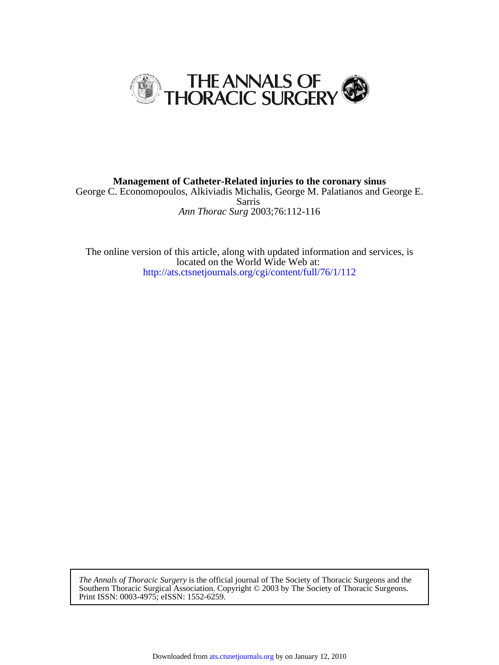

*Ann Thorac Surg* 2003;76:112-116 Sarris George C. Economopoulos, Alkiviadis Michalis, George M. Palatianos and George E. **Management of Catheter-Related injuries to the coronary sinus**

<http://ats.ctsnetjournals.org/cgi/content/full/76/1/112> located on the World Wide Web at: The online version of this article, along with updated information and services, is

Print ISSN: 0003-4975; eISSN: 1552-6259. Southern Thoracic Surgical Association. Copyright © 2003 by The Society of Thoracic Surgeons. *The Annals of Thoracic Surgery* is the official journal of The Society of Thoracic Surgeons and the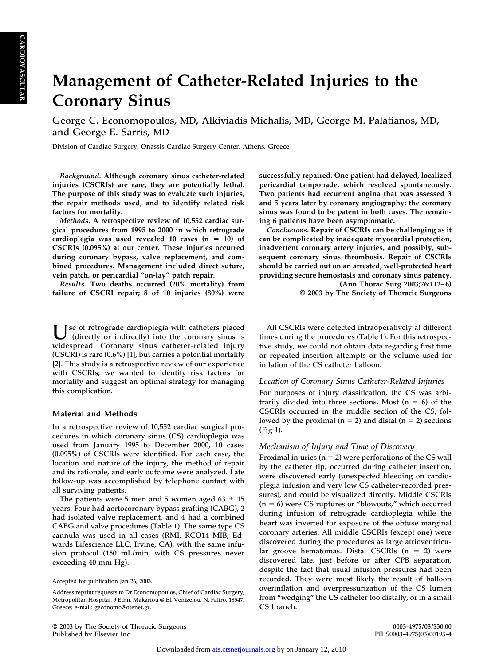# **CARDIOVASCULAR CARDIOVASCULAR**

## **Management of Catheter-Related Injuries to the Coronary Sinus**

**George C. Economopoulos, MD, Alkiviadis Michalis, MD, George M. Palatianos, MD, and George E. Sarris, MD**

**Division of Cardiac Surgery, Onassis Cardiac Surgery Center, Athens, Greece**

*Background.* **Although coronary sinus catheter-related injuries (CSCRIs) are rare, they are potentially lethal. The purpose of this study was to evaluate such injuries, the repair methods used, and to identify related risk factors for mortality.**

*Methods.* **A retrospective review of 10,552 cardiac surgical procedures from 1995 to 2000 in which retrograde** cardioplegia was used revealed 10 cases  $(n = 10)$  of **CSCRIs (0.095%) at our center. These injuries occurred during coronary bypass, valve replacement, and combined procedures. Management included direct suture, vein patch, or pericardial "on-lay" patch repair.**

*Results.* **Two deaths occurred (20% mortality) from failure of CSCRI repair; 8 of 10 injuries (80%) were**

**Use of retrograde cardioplegia with catheters placed (directly or indirectly) into the coronary sinus is widespread. Coronary sinus catheter-related injury (CSCRI) is rare (0.6%) [\[1\],](#page-4-0) but carries a potential mortality [\[2\].](#page-4-0) This study is a retrospective review of our experience with CSCRIs; we wanted to identify risk factors for mortality and suggest an optimal strategy for managing this complication.**

#### **Material and Methods**

**In a retrospective review of 10,552 cardiac surgical procedures in which coronary sinus (CS) cardioplegia was used from January 1995 to December 2000, 10 cases (0.095%) of CSCRIs were identified. For each case, the location and nature of the injury, the method of repair and its rationale, and early outcome were analyzed. Late follow-up was accomplished by telephone contact with all surviving patients.**

The patients were 5 men and 5 women aged  $63 \pm 15$ **years. Four had aortocoronary bypass grafting (CABG), 2 had isolated valve replacement, and 4 had a combined CABG and valve procedures [\(Table 1\)](#page-2-0). The same type CS cannula was used in all cases (RMI, RCO14 MIB, Edwards Lifescience LLC, Irvine, CA), with the same infusion protocol (150 mL/min, with CS pressures never exceeding 40 mm Hg).**

**successfully repaired. One patient had delayed, localized pericardial tamponade, which resolved spontaneously. Two patients had recurrent angina that was assessed 3 and 5 years later by coronary angiography; the coronary sinus was found to be patent in both cases. The remaining 6 patients have been asymptomatic.**

*Conclusions.* **Repair of CSCRIs can be challenging as it can be complicated by inadequate myocardial protection, inadvertent coronary artery injuries, and possibly, subsequent coronary sinus thrombosis. Repair of CSCRIs should be carried out on an arrested, well-protected heart providing secure hemostasis and coronary sinus patency. (Ann Thorac Surg 2003;76:112–6)**

**© 2003 by The Society of Thoracic Surgeons**

**All CSCRIs were detected intraoperatively at different times during the procedures [\(Table 1\)](#page-2-0). For this retrospective study, we could not obtain data regarding first time or repeated insertion attempts or the volume used for inflation of the CS catheter balloon.**

#### *Location of Coronary Sinus Catheter-Related Injuries*

**For purposes of injury classification, the CS was arbi**trarily divided into three sections. Most (n = 6) of the **CSCRIs occurred in the middle section of the CS, fol**lowed by the proximal (n = 2) and distal (n = 2) sections **[\(Fig 1\)](#page-3-0).**

#### *Mechanism of Injury and Time of Discovery*

Proximal injuries (n = 2) were perforations of the CS wall **by the catheter tip, occurred during catheter insertion, were discovered early (unexpected bleeding on cardioplegia infusion and very low CS catheter-recorded pressures), and could be visualized directly. Middle CSCRIs (n** - **6) were CS ruptures or "blowouts," which occurred during infusion of retrograde cardioplegia while the heart was inverted for exposure of the obtuse marginal coronary arteries. All middle CSCRIs (except one) were discovered during the procedures as large atrioventricu**lar groove hematomas. Distal CSCRIs (n = 2) were **discovered late, just before or after CPB separation, despite the fact that usual infusion pressures had been recorded. They were most likely the result of balloon overinflation and overpressurization of the CS lumen from "wedging" the CS catheter too distally, or in a small CS branch.**

**Accepted for publication Jan 26, 2003.**

**Address reprint requests to Dr Economopoulos, Chief of Cardiac Surgery, Metropolitan Hospital, 9 Ethn. Makariou @ El. Venizelou, N. Faliro, 18547, Greece; e-mail: geconomo@otenet.gr.**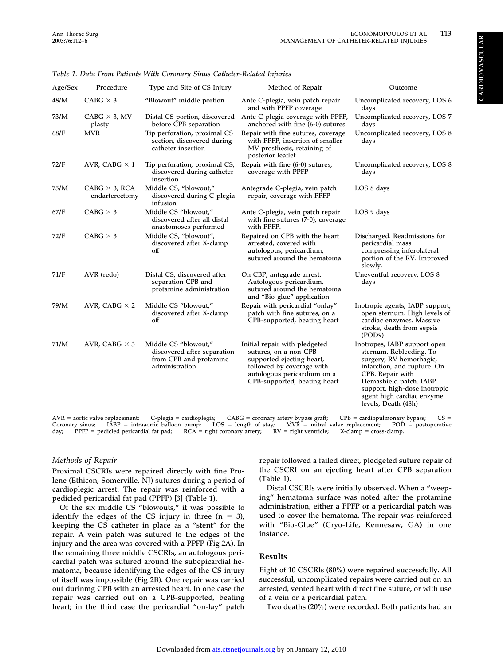| í                                          |
|--------------------------------------------|
| Ç                                          |
| ł                                          |
|                                            |
| l                                          |
|                                            |
| ֖֖֖֖֖֖ׅׅׅ֖֚֚֚֚֚֚֚֚֚֚֚֚֚֚֚֚֚֚֚֚֬֝֝֝֬֝֬֝֬֝֓֞ |
|                                            |
|                                            |
|                                            |
|                                            |

| Age/Sex | Procedure                              | Type and Site of CS Injury                                                                      | Method of Repair                                                                                                                                                                 | Outcome                                                                                                                                                                                                                                             |
|---------|----------------------------------------|-------------------------------------------------------------------------------------------------|----------------------------------------------------------------------------------------------------------------------------------------------------------------------------------|-----------------------------------------------------------------------------------------------------------------------------------------------------------------------------------------------------------------------------------------------------|
| 48/M    | CABG $\times$ 3                        | "Blowout" middle portion                                                                        | Ante C-plegia, vein patch repair<br>and with PPFP coverage                                                                                                                       | Uncomplicated recovery, LOS 6<br>days                                                                                                                                                                                                               |
| 73/M    | CABG $\times$ 3, MV<br>plasty          | before CPB separation                                                                           | Distal CS portion, discovered Ante C-plegia coverage with PPFP,<br>anchored with fine (6-0) sutures                                                                              | Uncomplicated recovery, LOS 7<br>days                                                                                                                                                                                                               |
| 68/F    | <b>MVR</b>                             | Tip perforation, proximal CS<br>section, discovered during<br>catheter insertion                | Repair with fine sutures, coverage<br>with PPFP, insertion of smaller<br>MV prosthesis, retaining of<br>posterior leaflet                                                        | Uncomplicated recovery, LOS 8<br>days                                                                                                                                                                                                               |
| 72/F    | AVR, CABG $\times$ 1                   | Tip perforation, proximal CS,<br>discovered during catheter<br>insertion                        | Repair with fine (6-0) sutures,<br>coverage with PPFP                                                                                                                            | Uncomplicated recovery, LOS 8<br>days                                                                                                                                                                                                               |
| 75/M    | CABG $\times$ 3, RCA<br>endarterectomy | Middle CS, "blowout,"<br>discovered during C-plegia<br>infusion                                 | Antegrade C-plegia, vein patch<br>repair, coverage with PPFP                                                                                                                     | LOS 8 days                                                                                                                                                                                                                                          |
| 67/F    | CABG $\times$ 3                        | Middle CS "blowout,"<br>discovered after all distal<br>anastomoses performed                    | Ante C-plegia, vein patch repair<br>with fine sutures (7-0), coverage<br>with PPFP.                                                                                              | LOS 9 days                                                                                                                                                                                                                                          |
| 72/F    | CABG $\times$ 3                        | Middle CS, "blowout",<br>discovered after X-clamp<br>off                                        | Repaired on CPB with the heart<br>arrested, covered with<br>autologous, pericardium,<br>sutured around the hematoma.                                                             | Discharged. Readmissions for<br>pericardial mass<br>compressing inferolateral<br>portion of the RV. Improved<br>slowly.                                                                                                                             |
| 71/F    | AVR (redo)                             | Distal CS, discovered after<br>separation CPB and<br>protamine administration                   | On CBP, antegrade arrest.<br>Autologous pericardium,<br>sutured around the hematoma<br>and "Bio-glue" application                                                                | Uneventful recovery, LOS 8<br>days                                                                                                                                                                                                                  |
| 79/M    | AVR, CABG $\times$ 2                   | Middle CS "blowout,"<br>discovered after X-clamp<br>off                                         | Repair with pericardial "onlay"<br>patch with fine sutures, on a<br>CPB-supported, beating heart                                                                                 | Inotropic agents, IABP support,<br>open sternum. High levels of<br>cardiac enzymes. Massive<br>stroke, death from sepsis<br>(POD9)                                                                                                                  |
| 71/M    | AVR, CABG $\times$ 3                   | Middle CS "blowout,"<br>discovered after separation<br>from CPB and protamine<br>administration | Initial repair with pledgeted<br>sutures, on a non-CPB-<br>supported ejecting heart,<br>followed by coverage with<br>autologous pericardium on a<br>CPB-supported, beating heart | Inotropes, IABP support open<br>sternum. Rebleeding. To<br>surgery, RV hemorhagic,<br>infarction, and rupture. On<br>CPB. Repair with<br>Hemashield patch. IABP<br>support, high-dose inotropic<br>agent high cardiac enzyme<br>levels, Death (48h) |

<span id="page-2-0"></span>*Table 1. Data From Patients With Coronary Sinus Catheter-Related Injuries*

**AVR** - **aortic valve replacement; C-plegia cardioplegia; CABG** -= coronary artery bypass graft; CPB = CPB = cardiopulmonary bypass; CS = **Coronary sinus;**<br>day; **PPFP** = pe **intraaortic balloon pump; LOS** - $=$  length of stay; MVR = mitral valve replacement; POD = **postoperative**  $P$ PPFP = pedicled pericardial fat pad; **pedicled pericardial fat pad; RCA** -= right coronary artery; RV = right ventricle; X-clamp = X-clamp = cross-clamp.

#### *Methods of Repair*

**Proximal CSCRIs were repaired directly with fine Prolene (Ethicon, Somerville, NJ) sutures during a period of cardioplegic arrest. The repair was reinforced with a pedicled pericardial fat pad (PPFP) [\[3\]](#page-4-0) (Table 1).**

**Of the six middle CS "blowouts," it was possible to** identify the edges of the CS injury in three  $(n = 3)$ , **keeping the CS catheter in place as a "stent" for the repair. A vein patch was sutured to the edges of the injury and the area was covered with a PPFP [\(Fig 2A\)](#page-3-0). In the remaining three middle CSCRIs, an autologous pericardial patch was sutured around the subepicardial hematoma, because identifying the edges of the CS injury of itself was impossible [\(Fig 2B\)](#page-3-0). One repair was carried out durinmg CPB with an arrested heart. In one case the repair was carried out on a CPB-supported, beating heart; in the third case the pericardial "on-lay" patch** **repair followed a failed direct, pledgeted suture repair of the CSCRI on an ejecting heart after CPB separation (Table 1).**

**Distal CSCRIs were initially observed. When a "weeping" hematoma surface was noted after the protamine administration, either a PPFP or a pericardial patch was used to cover the hematoma. The repair was reinforced with "Bio-Glue" (Cryo-Life, Kennesaw, GA) in one instance.**

#### **Results**

**Eight of 10 CSCRIs (80%) were repaired successfully. All successful, uncomplicated repairs were carried out on an arrested, vented heart with direct fine suture, or with use of a vein or a pericardial patch.**

**Two deaths (20%) were recorded. Both patients had an**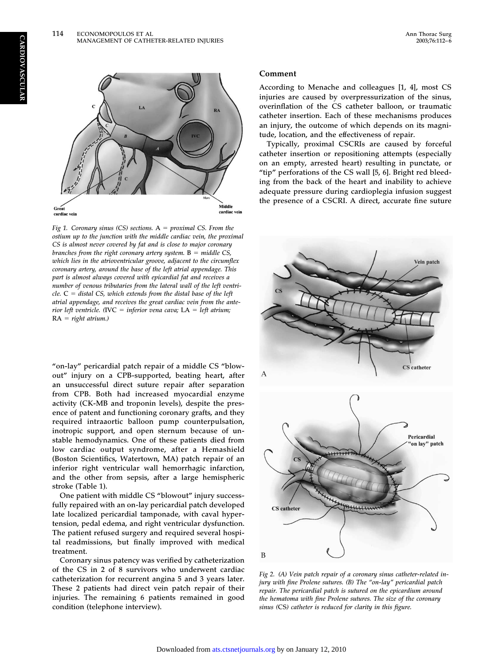<span id="page-3-0"></span>

*Fig 1. Coronary sinus (CS) sections.* **A** - *proximal CS. From the ostium up to the junction with the middle cardiac vein, the proximal CS is almost never covered by fat and is close to major coronary branches from the right coronary artery system.* **B** - *middle CS, which lies in the atrioventricular groove, adjacent to the circumflex coronary artery, around the base of the left atrial appendage. This part is almost always covered with epicardial fat and receives a number of venous tributaries from the lateral wall of the left ventricle.* **C** - *distal CS, which extends from the distal base of the left atrial appendage, and receives the great cardiac vein from the anterior left ventricle. (***IVC** - *inferior vena cava;* **LA** - *left atrium;* **RA** - *right atrium.)*

**"on-lay" pericardial patch repair of a middle CS "blowout" injury on a CPB-supported, beating heart, after an unsuccessful direct suture repair after separation from CPB. Both had increased myocardial enzyme activity (CK-MB and troponin levels), despite the presence of patent and functioning coronary grafts, and they required intraaortic balloon pump counterpulsation, inotropic support, and open sternum because of unstable hemodynamics. One of these patients died from low cardiac output syndrome, after a Hemashield (Boston Scientifics, Watertown, MA) patch repair of an inferior right ventricular wall hemorrhagic infarction, and the other from sepsis, after a large hemispheric stroke [\(Table 1\)](#page-2-0).**

**One patient with middle CS "blowout" injury successfully repaired with an on-lay pericardial patch developed late localized pericardial tamponade, with caval hypertension, pedal edema, and right ventricular dysfunction. The patient refused surgery and required several hospital readmissions, but finally improved with medical treatment.**

**Coronary sinus patency was verified by catheterization of the CS in 2 of 8 survivors who underwent cardiac catheterization for recurrent angina 5 and 3 years later. These 2 patients had direct vein patch repair of their injuries. The remaining 6 patients remained in good condition (telephone interview).**

#### **Comment**

**According to Menache and colleagues [\[1, 4\],](#page-4-0) most CS injuries are caused by overpressurization of the sinus, overinflation of the CS catheter balloon, or traumatic catheter insertion. Each of these mechanisms produces an injury, the outcome of which depends on its magnitude, location, and the effectiveness of repair.**

**Typically, proximal CSCRIs are caused by forceful catheter insertion or repositioning attempts (especially on an empty, arrested heart) resulting in punctate, or "tip" perforations of the CS wall [\[5, 6\].](#page-4-0) Bright red bleeding from the back of the heart and inability to achieve adequate pressure during cardioplegia infusion suggest the presence of a CSCRI. A direct, accurate fine suture**



*Fig 2. (A) Vein patch repair of a coronary sinus catheter-related injury with fine Prolene sutures. (B) The "on-lay" pericardial patch repair. The pericardial patch is sutured on the epicardium around the hematoma with fine Prolene sutures. The size of the coronary sinus (***CS***) catheter is reduced for clarity in this figure.*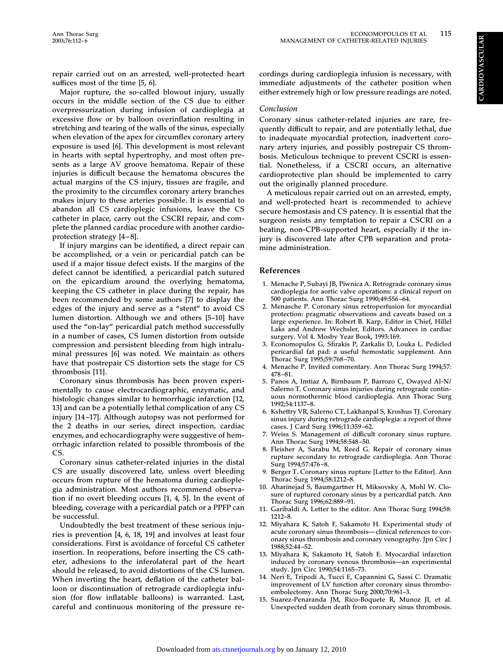<span id="page-4-0"></span>**repair carried out on an arrested, well-protected heart suffices most of the time [5, 6].**

**Major rupture, the so-called blowout injury, usually occurs in the middle section of the CS due to either overpressurization during infusion of cardioplegia at excessive flow or by balloon overinflation resulting in stretching and tearing of the walls of the sinus, especially when elevation of the apex for circumflex coronary artery exposure is used [6]. This development is most relevant in hearts with septal hypertrophy, and most often presents as a large AV groove hematoma. Repair of these injuries is difficult because the hematoma obscures the actual margins of the CS injury, tissues are fragile, and the proximity to the circumflex coronary artery branches makes injury to these arteries possible. It is essential to abandon all CS cardioplegic infusions, leave the CS catheter in place, carry out the CSCRI repair, and complete the planned cardiac procedure with another cardioprotection strategy [4–8].**

**If injury margins can be identified, a direct repair can be accomplished, or a vein or pericardial patch can be used if a major tissue defect exists. If the margins of the defect cannot be identified, a pericardial patch sutured on the epicardium around the overlying hematoma, keeping the CS catheter in place during the repair, has been recommended by some authors [7] to display the edges of the injury and serve as a "stent" to avoid CS lumen distortion. Although we and others [5–10] have used the "on-lay" pericardial patch method successfully in a number of cases, CS lumen distortion from outside compression and persistent bleeding from high intraluminal pressures [6] was noted. We maintain as others have that postrepair CS distortion sets the stage for CS thrombosis [11].**

**Coronary sinus thrombosis has been proven experimentally to cause electrocardiographic, enzymatic, and histologic changes similar to hemorrhagic infarction [12, 13] and can be a potentially lethal complication of any CS injury [14–17]. Although autopsy was not performed for the 2 deaths in our series, direct inspection, cardiac enzymes, and echocardiography were suggestive of hemorrhagic infarction related to possible thrombosis of the CS.**

**Coronary sinus catheter-related injuries in the distal CS are usually discovered late, unless overt bleeding occurs from rupture of the hematoma during cardioplegia administration. Most authors recommend observation if no overt bleeding occurs [1, 4, 5]. In the event of bleeding, coverage with a pericardial patch or a PPFP can be successful.**

**Undoubtedly the best treatment of these serious injuries is prevention [4, 6, 18, 19] and involves at least four considerations. First is avoidance of forceful CS catheter insertion. In reoperations, before inserting the CS catheter, adhesions to the inferolateral part of the heart should be released, to avoid distortions of the CS lumen. When inverting the heart, deflation of the catheter balloon or discontinuation of retrograde cardioplegia infusion (for flow inflatable balloons) is warranted. Last, careful and continuous monitoring of the pressure re-** **cordings during cardioplegia infusion is necessary, with immediate adjustments of the catheter position when either extremely high or low pressure readings are noted.**

#### *Conclusion*

**Coronary sinus catheter-related injuries are rare, frequently difficult to repair, and are potentially lethal, due to inadequate myocardial protection, inadvertent coronary artery injuries, and possibly postrepair CS thrombosis. Meticulous technique to prevent CSCRI is essential. Nonetheless, if a CSCRI occurs, an alternative cardioprotective plan should be implemented to carry out the originally planned procedure.**

**A meticulous repair carried out on an arrested, empty, and well-protected heart is recommended to achieve secure hemostasis and CS patency. It is essential that the surgeon resists any temptation to repair a CSCRI on a beating, non-CPB-supported heart, especially if the injury is discovered late after CPB separation and protamine administration.**

#### **References**

- **1. Menache P, Subayi JB, Piwnica A. Retrograde coronary sinus cardioplegia for aortic valve operations: a clinical report on 500 patients. Ann Thorac Surg 1990;49:556–64.**
- **2. Menasche P. Coronary sinus retroperfusion for myocardial protection: pragmatic observations and caveats based on a large experience. In: Robert B. Karp, Editor in Chief, Hillel Laks and Andrew Wechsler, Editors. Advances in cardiac surgery. Vol 4. Mosby Year Book, 1993:169.**
- **3. Economopulos G, Sfirakis P, Zarkalis D, Louka L. Pedicled pericardial fat pad: a useful hemostatic supplement. Ann Thorac Surg 1995;59:768–70.**
- **4. Menache P. Invited commentary. Ann Thorac Surg 1994;57: 478–81.**
- **5. Panos A, Imtiaz A, Birnbaum P, Barrozo C, Owayed Al-N/ Salerno T. Coronary sinus injuries during retrograde continuous normothermic blood cardioplegia. Ann Thorac Surg 1992;54:1137–8.**
- **6. Kshettry VR, Salerno CT, Lakhanpal S, Kroshus TJ. Coronary sinus injury during retrograde cardioplegia: a report of three cases. J Card Surg 1996;11:359–62.**
- **7. Weiss S. Management of difficult coronary sinus rupture. Ann Thorac Surg 1994;58:548–50.**
- **8. Fleisher A, Sarabu M, Reed G. Repair of coronary sinus rupture secondary to retrograde cardioplegia. Ann Thorac Surg 1994;57:476–8.**
- **9. Berger T. Coronary sinus rupture [Letter to the Editor]. Ann Thorac Surg 1994;58:1212–8.**
- **10. Aharinejad S, Baumgartner H, Miksovsky A, Mohl W. Closure of ruptured coronary sinus by a pericardial patch. Ann Thorac Surg 1996;62:889–91.**
- **11. Garibaldi A. Letter to the editor. Ann Thorac Surg 1994;58: 1212–8.**
- **12. Miyahara K, Satoh F, Sakamoto H. Experimental study of acute coronary sinus thrombosis—clinical references to coronary sinus thrombosis and coronary venography. Jpn Circ J 1988;52:44–52.**
- **13. Miyahara K, Sakamoto H, Satoh E. Myocardial infarction induced by coronary venous thrombosis—an experimental study. Jpn Circ 1990;54:1165–73.**
- **14. Neri E, Tripodi A, Tucci E, Capannini G, Sassi C. Dramatic improvement of LV function after coronary sinus thromboembolectomy. Ann Thorac Surg 2000;70:961–3.**
- **15. Suarez-Penaranda JM, Rico-Boquete R, Munoz JI, et al. Unexpected sudden death from coronary sinus thrombosis.**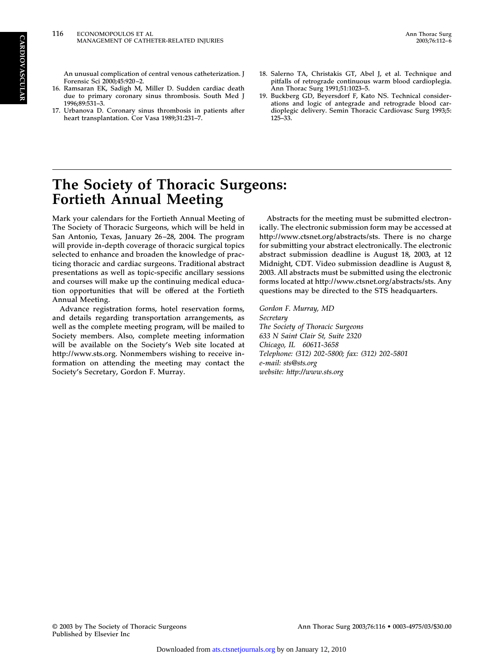**An unusual complication of central venous catheterization. J Forensic Sci 2000;45:920–2.**

- **16. Ramsaran EK, Sadigh M, Miller D. Sudden cardiac death due to primary coronary sinus thrombosis. South Med J 1996;89:531–3.**
- **17. Urbanova D. Coronary sinus thrombosis in patients after heart transplantation. Cor Vasa 1989;31:231–7.**
- **18. Salerno TA, Christakis GT, Abel J, et al. Technique and pitfalls of retrograde continuous warm blood cardioplegia. Ann Thorac Surg 1991;51:1023–5.**
- **19. Buckberg GD, Beyersdorf F, Kato NS. Technical considerations and logic of antegrade and retrograde blood cardioplegic delivery. Semin Thoracic Cardiovasc Surg 1993;5: 125–33.**

### **The Society of Thoracic Surgeons: Fortieth Annual Meeting**

**Mark your calendars for the Fortieth Annual Meeting of The Society of Thoracic Surgeons, which will be held in San Antonio, Texas, January 26–28, 2004. The program will provide in-depth coverage of thoracic surgical topics selected to enhance and broaden the knowledge of practicing thoracic and cardiac surgeons. Traditional abstract presentations as well as topic-specific ancillary sessions and courses will make up the continuing medical education opportunities that will be offered at the Fortieth Annual Meeting.**

**Advance registration forms, hotel reservation forms, and details regarding transportation arrangements, as well as the complete meeting program, will be mailed to Society members. Also, complete meeting information will be available on the Society's Web site located at [http://www.sts.org.](http://www.sts.org) Nonmembers wishing to receive information on attending the meeting may contact the Society's Secretary, Gordon F. Murray.**

**Abstracts for the meeting must be submitted electronically. The electronic submission form may be accessed at http://www.ctsnet.org/abstracts/sts. There is no charge for submitting your abstract electronically. The electronic abstract submission deadline is August 18, 2003, at 12 Midnight, CDT. Video submission deadline is August 8, 2003. All abstracts must be submitted using the electronic forms located at http://www.ctsnet.org/abstracts/sts. Any questions may be directed to the STS headquarters.**

*Gordon F. Murray, MD Secretary The Society of Thoracic Surgeons 633 N Saint Clair St, Suite 2320 Chicago, IL 60611-3658 Telephone: (312) 202-5800; fax: (312) 202-5801 e-mail: sts@sts.org website:<http://www.sts.org>*